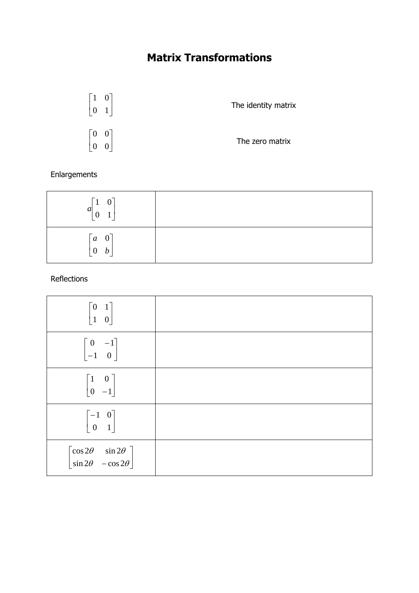## **Matrix Transformations**



### Enlargements

| $a \begin{bmatrix} 1 & 0 \\ 0 & 1 \end{bmatrix}$<br>$\mathbf{1}$<br>┕          |  |
|--------------------------------------------------------------------------------|--|
| $\begin{bmatrix} a & 0 \end{bmatrix}$<br>$\begin{bmatrix} 0 & b \end{bmatrix}$ |  |

#### Reflections

| $\begin{bmatrix} 0 & 1 \\ 1 & 0 \end{bmatrix}$                                              |  |
|---------------------------------------------------------------------------------------------|--|
| $\begin{bmatrix} 0 & -1 \\ -1 & 0 \end{bmatrix}$                                            |  |
| $\begin{bmatrix} 1 & 0 \\ 0 & -1 \end{bmatrix}$                                             |  |
| $\begin{bmatrix} -1 & 0 \\ 0 & 1 \end{bmatrix}$                                             |  |
| $\begin{bmatrix} \cos 2\theta & \sin 2\theta \\ \sin 2\theta & -\cos 2\theta \end{bmatrix}$ |  |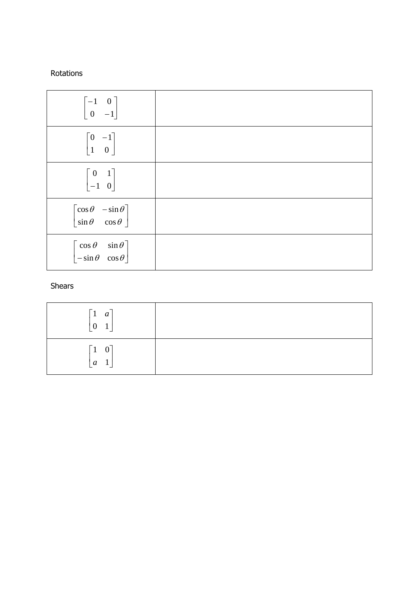#### Rotations

| $\begin{bmatrix} -1 & 0 \\ 0 & -1 \end{bmatrix}$                                        |  |
|-----------------------------------------------------------------------------------------|--|
| $\begin{bmatrix} 0 & -1 \\ 1 & 0 \end{bmatrix}$                                         |  |
| $\begin{bmatrix} 0 & 1 \\ -1 & 0 \end{bmatrix}$                                         |  |
| $\begin{bmatrix} \cos \theta & -\sin \theta \\ \sin \theta & \cos \theta \end{bmatrix}$ |  |
| $\begin{bmatrix} \cos \theta & \sin \theta \\ -\sin \theta & \cos \theta \end{bmatrix}$ |  |

#### Shears

| $\begin{bmatrix} 1 & a \end{bmatrix}$<br>$\mathbf{0}$<br>$\boxed{1}$         |  |
|------------------------------------------------------------------------------|--|
| $0^{\overline{}}$<br>$\mathsf{r}_1$<br>$\begin{bmatrix} a & 1 \end{bmatrix}$ |  |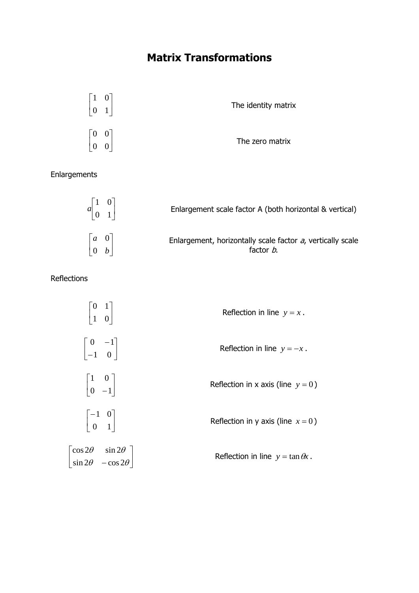# **Matrix Transformations**

| $\lceil 1 \rceil$<br>$\vert 0 \vert$               | $\vert 1 \vert$  | The identity matrix |
|----------------------------------------------------|------------------|---------------------|
| $\begin{bmatrix} 0 & 0 \end{bmatrix}$<br>$\vert 0$ | $\boldsymbol{0}$ | The zero matrix     |

Enlargements

| $a \begin{bmatrix} 1 & 0 \\ 0 & 1 \end{bmatrix}$ | Enlargement scale factor A (both horizontal & vertical)                 |
|--------------------------------------------------|-------------------------------------------------------------------------|
| $\begin{bmatrix} a & 0 \\ 0 & b \end{bmatrix}$   | Enlargement, horizontally scale factor a, vertically scale<br>factor b. |

Reflections

 $\mathsf{I}$ L  $\mathbf{r}$ 

| $\begin{bmatrix} 0 & 1 \\ 1 & 0 \end{bmatrix}$                                              | Reflection in line $y = x$ .             |
|---------------------------------------------------------------------------------------------|------------------------------------------|
| $\begin{vmatrix} 0 & -1 \\ -1 & 0 \end{vmatrix}$                                            | Reflection in line $y = -x$ .            |
| $\begin{vmatrix} 1 & 0 \\ 0 & -1 \end{vmatrix}$                                             | Reflection in x axis (line $y = 0$ )     |
| $\begin{vmatrix} -1 & 0 \\ 0 & 1 \end{vmatrix}$                                             | Reflection in y axis (line $x = 0$ )     |
| $\begin{bmatrix} \cos 2\theta & \sin 2\theta \\ \sin 2\theta & -\cos 2\theta \end{bmatrix}$ | Reflection in line $y = \tan \theta x$ . |